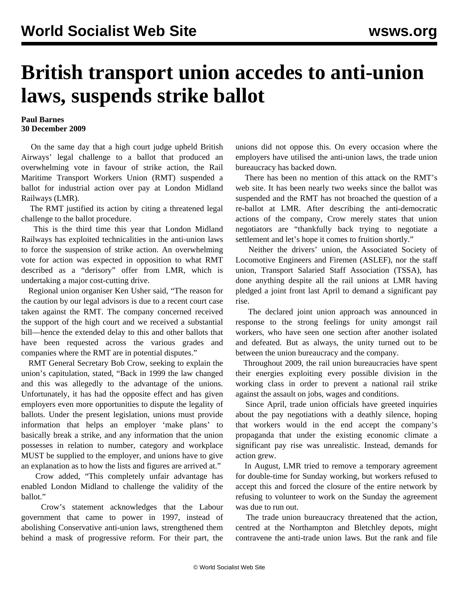## **British transport union accedes to anti-union laws, suspends strike ballot**

## **Paul Barnes 30 December 2009**

 On the same day that a high court judge upheld British Airways' legal challenge to a ballot that produced an overwhelming vote in favour of strike action, the Rail Maritime Transport Workers Union (RMT) suspended a ballot for industrial action over pay at London Midland Railways (LMR).

 The RMT justified its action by citing a threatened legal challenge to the ballot procedure.

 This is the third time this year that London Midland Railways has exploited technicalities in the anti-union laws to force the suspension of strike action. An overwhelming vote for action was expected in opposition to what RMT described as a "derisory" offer from LMR, which is undertaking a major cost-cutting drive.

 Regional union organiser Ken Usher said, "The reason for the caution by our legal advisors is due to a recent court case taken against the RMT. The company concerned received the support of the high court and we received a substantial bill—hence the extended delay to this and other ballots that have been requested across the various grades and companies where the RMT are in potential disputes."

 RMT General Secretary Bob Crow, seeking to explain the union's capitulation, stated, "Back in 1999 the law changed and this was allegedly to the advantage of the unions. Unfortunately, it has had the opposite effect and has given employers even more opportunities to dispute the legality of ballots. Under the present legislation, unions must provide information that helps an employer 'make plans' to basically break a strike, and any information that the union possesses in relation to number, category and workplace MUST be supplied to the employer, and unions have to give an explanation as to how the lists and figures are arrived at."

 Crow added, "This completely unfair advantage has enabled London Midland to challenge the validity of the ballot."

 Crow's statement acknowledges that the Labour government that came to power in 1997, instead of abolishing Conservative anti-union laws, strengthened them behind a mask of progressive reform. For their part, the

unions did not oppose this. On every occasion where the employers have utilised the anti-union laws, the trade union bureaucracy has backed down.

 There has been no mention of this attack on the RMT's web site. It has been nearly two weeks since the ballot was suspended and the RMT has not broached the question of a re-ballot at LMR. After describing the anti-democratic actions of the company, Crow merely states that union negotiators are "thankfully back trying to negotiate a settlement and let's hope it comes to fruition shortly."

 Neither the drivers' union, the Associated Society of Locomotive Engineers and Firemen (ASLEF), nor the staff union, Transport Salaried Staff Association (TSSA), has done anything despite all the rail unions at LMR having pledged a joint front last April to demand a significant pay rise.

 The declared joint union approach was announced in response to the strong feelings for unity amongst rail workers, who have seen one section after another isolated and defeated. But as always, the unity turned out to be between the union bureaucracy and the company.

 Throughout 2009, the rail union bureaucracies have spent their energies exploiting every possible division in the working class in order to prevent a national rail strike against the assault on jobs, wages and conditions.

 Since April, trade union officials have greeted inquiries about the pay negotiations with a deathly silence, hoping that workers would in the end accept the company's propaganda that under the existing economic climate a significant pay rise was unrealistic. Instead, demands for action grew.

 In August, LMR tried to remove a temporary agreement for double-time for Sunday working, but workers refused to accept this and forced the closure of the entire network by refusing to volunteer to work on the Sunday the agreement was due to run out.

 The trade union bureaucracy threatened that the action, centred at the Northampton and Bletchley depots, might contravene the anti-trade union laws. But the rank and file